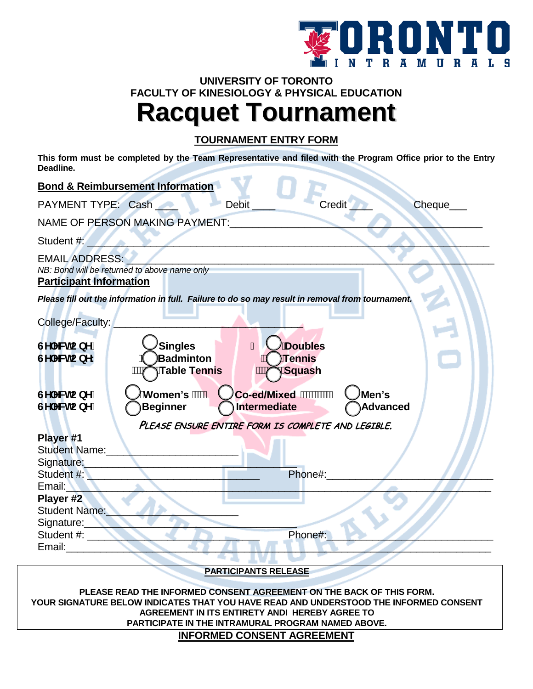

## **UNIVERSITY OF TORONTO FACULTY OF KINESIOLOGY & PHYSICAL EDUCATION Racquet Tournament**

## **TOURNAMENT ENTRY FORM**

**This form must be completed by the Team Representative and filed with the Program Office prior to the Entry Deadline.** 

|                                                                                                                                                                                                                                                                       | <b>Bond &amp; Reimbursement Information</b>               |                                                  |                                       |         |
|-----------------------------------------------------------------------------------------------------------------------------------------------------------------------------------------------------------------------------------------------------------------------|-----------------------------------------------------------|--------------------------------------------------|---------------------------------------|---------|
| PAYMENT TYPE: Cash                                                                                                                                                                                                                                                    |                                                           | <b>Debit</b>                                     | Credit                                | Cheque_ |
| NAME OF PERSON MAKING PAYMENT:                                                                                                                                                                                                                                        |                                                           |                                                  |                                       |         |
| Student # 2000                                                                                                                                                                                                                                                        |                                                           |                                                  |                                       |         |
| <b>EMAIL ADDRESS:</b><br><b>Participant Information</b>                                                                                                                                                                                                               | NB: Bond will be returned to above name only              |                                                  |                                       |         |
| Please fill out the information in full. Failure to do so may result in removal from tournament.                                                                                                                                                                      |                                                           |                                                  |                                       |         |
| College/Faculty:                                                                                                                                                                                                                                                      |                                                           |                                                  |                                       |         |
| GY YWIC bY.<br>GYYWKCbY:                                                                                                                                                                                                                                              | <b>Singles</b><br><b>Badminton</b><br><b>Table Tennis</b> | <b>Doubles</b><br><b>Tennis</b><br><b>Squash</b> |                                       |         |
| GYYWKCbY.<br>GYYWKCbY.                                                                                                                                                                                                                                                | <b>Women's</b><br><b>Beginner</b>                         | <b>Co-ed/Mixed</b><br>Intermediate               | <sup>)</sup> Men's<br><b>Advanced</b> |         |
| PLEASE ENSURE ENTIRE FORM IS COMPLETE AND LEGIBLE.                                                                                                                                                                                                                    |                                                           |                                                  |                                       |         |
| Player #1<br><b>Student Name:</b>                                                                                                                                                                                                                                     |                                                           |                                                  |                                       |         |
| Signature:                                                                                                                                                                                                                                                            |                                                           |                                                  |                                       |         |
| Student #:                                                                                                                                                                                                                                                            |                                                           | Phone#:                                          |                                       |         |
| Email:<br>Player #2                                                                                                                                                                                                                                                   |                                                           |                                                  |                                       |         |
| <b>Student Name:</b>                                                                                                                                                                                                                                                  |                                                           |                                                  |                                       |         |
| Signature:                                                                                                                                                                                                                                                            |                                                           |                                                  |                                       |         |
| Student #:                                                                                                                                                                                                                                                            |                                                           | Phone#:                                          |                                       |         |
| Email:                                                                                                                                                                                                                                                                |                                                           |                                                  |                                       |         |
| <b>PARTICIPANTS RELEASE</b>                                                                                                                                                                                                                                           |                                                           |                                                  |                                       |         |
| PLEASE READ THE INFORMED CONSENT AGREEMENT ON THE BACK OF THIS FORM.<br>YOUR SIGNATURE BELOW INDICATES THAT YOU HAVE READ AND UNDERSTOOD THE INFORMED CONSENT<br>AGREEMENT IN ITS ENTIRETY ANDI HEREBY AGREE TO<br>PARTICIPATE IN THE INTRAMURAL PROGRAM NAMED ABOVE. |                                                           |                                                  |                                       |         |
| <b>INFORMED CONSENT AGREEMENT</b>                                                                                                                                                                                                                                     |                                                           |                                                  |                                       |         |